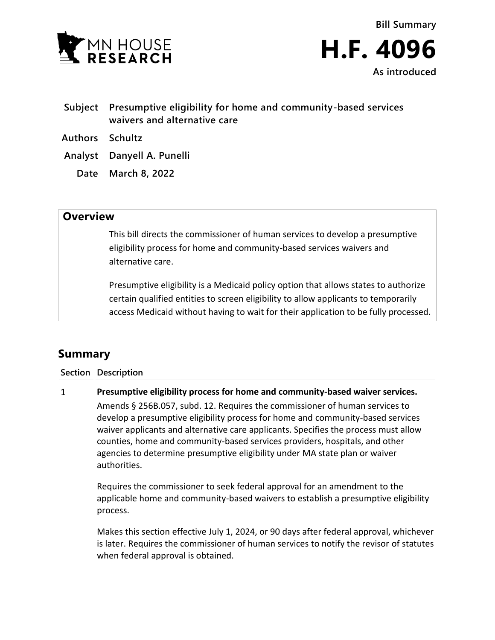

- **Subject Presumptive eligibility for home and community-based services waivers and alternative care**
- **Authors Schultz**
- **Analyst Danyell A. Punelli**
	- **Date March 8, 2022**

## **Overview**

This bill directs the commissioner of human services to develop a presumptive eligibility process for home and community-based services waivers and alternative care.

Presumptive eligibility is a Medicaid policy option that allows states to authorize certain qualified entities to screen eligibility to allow applicants to temporarily access Medicaid without having to wait for their application to be fully processed.

## **Summary**

**Section Description**

## $\mathbf{1}$ **Presumptive eligibility process for home and community-based waiver services.**

Amends § 256B.057, subd. 12. Requires the commissioner of human services to develop a presumptive eligibility process for home and community-based services waiver applicants and alternative care applicants. Specifies the process must allow counties, home and community-based services providers, hospitals, and other agencies to determine presumptive eligibility under MA state plan or waiver authorities.

Requires the commissioner to seek federal approval for an amendment to the applicable home and community-based waivers to establish a presumptive eligibility process.

Makes this section effective July 1, 2024, or 90 days after federal approval, whichever is later. Requires the commissioner of human services to notify the revisor of statutes when federal approval is obtained.